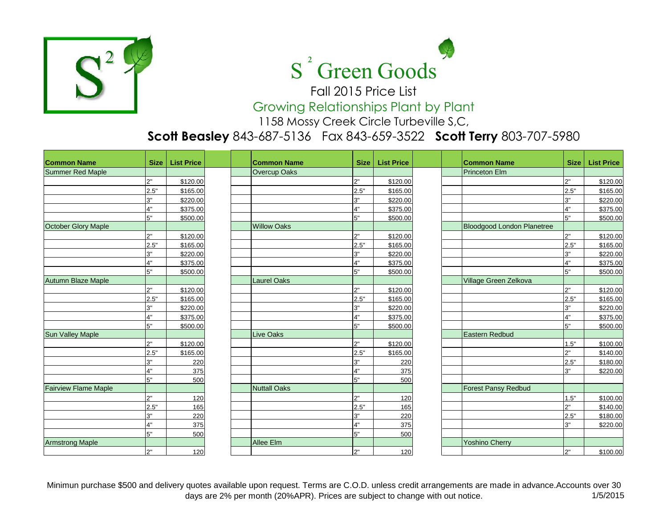



Fall 2015 Price List Growing Relationships Plant by Plant

1158 Mossy Creek Circle Turbeville S,C,

## **Scott Beasley** 843-687-5136 Fax 843-659-3522 **Scott Terry** 803-707-5980

| <b>Common Name</b>          | <b>Size</b> | <b>List Price</b> |  | <b>Common Name</b>  | <b>Size</b> | <b>List Price</b> | <b>Common Name</b>                | <b>Size</b>    | <b>List Price</b> |
|-----------------------------|-------------|-------------------|--|---------------------|-------------|-------------------|-----------------------------------|----------------|-------------------|
| Summer Red Maple            |             |                   |  | <b>Overcup Oaks</b> |             |                   | <b>Princeton Elm</b>              |                |                   |
|                             | 2"          | \$120.00          |  |                     | 2"          | \$120.00          |                                   | 2"             | \$120.00          |
|                             | 2.5"        | \$165.00          |  |                     | 2.5"        | \$165.00          |                                   | 2.5"           | \$165.00          |
|                             | 3"          | \$220.00          |  |                     | 3"          | \$220.00          |                                   | 3"             | \$220.00          |
|                             | 4"          | \$375.00          |  |                     | 4"          | \$375.00          |                                   | 4"             | \$375.00          |
|                             | 5"          | \$500.00          |  |                     | 5"          | \$500.00          |                                   | 5"             | \$500.00          |
| October Glory Maple         |             |                   |  | <b>Willow Oaks</b>  |             |                   | <b>Bloodgood London Planetree</b> |                |                   |
|                             | 2"          | \$120.00          |  |                     | 2"          | \$120.00          |                                   | 2"             | \$120.00          |
|                             | 2.5"        | \$165.00          |  |                     | 2.5"        | \$165.00          |                                   | 2.5"           | \$165.00          |
|                             | 3"          | \$220.00          |  |                     | 3"          | \$220.00          |                                   | 3"             | \$220.00          |
|                             | 4"          | \$375.00          |  |                     | 4"          | \$375.00          |                                   | 4"             | \$375.00          |
|                             | 5"          | \$500.00          |  |                     | 5"          | \$500.00          |                                   | 5"             | \$500.00          |
| <b>Autumn Blaze Maple</b>   |             |                   |  | <b>Laurel Oaks</b>  |             |                   | Village Green Zelkova             |                |                   |
|                             | 2"          | \$120.00          |  |                     | 2"          | \$120.00          |                                   | 2"             | \$120.00          |
|                             | 2.5"        | \$165.00          |  |                     | 2.5"        | \$165.00          |                                   | 2.5"           | \$165.00          |
|                             | 3"          | \$220.00          |  |                     | 3"          | \$220.00          |                                   | 3"             | \$220.00          |
|                             | 4"          | \$375.00          |  |                     | 4"          | \$375.00          |                                   | 4"             | \$375.00          |
|                             | 5"          | \$500.00          |  |                     | 5"          | \$500.00          |                                   | 5"             | \$500.00          |
| <b>Sun Valley Maple</b>     |             |                   |  | <b>Live Oaks</b>    |             |                   | Eastern Redbud                    |                |                   |
|                             | 2"          | \$120.00          |  |                     | 2"          | \$120.00          |                                   | 1.5"           | \$100.00          |
|                             | 2.5"        | \$165.00          |  |                     | 2.5"        | \$165.00          |                                   | 2 <sup>n</sup> | \$140.00          |
|                             | 3"          | 220               |  |                     | 3"          | 220               |                                   | 2.5"           | \$180.00          |
|                             | 4"          | 375               |  |                     | 4"          | 375               |                                   | 3"             | \$220.00          |
|                             | 5"          | 500               |  |                     | 5"          | 500               |                                   |                |                   |
| <b>Fairview Flame Maple</b> |             |                   |  | <b>Nuttall Oaks</b> |             |                   | <b>Forest Pansy Redbud</b>        |                |                   |
|                             | 2"          | 120               |  |                     | 2"          | 120               |                                   | 1.5"           | \$100.00          |
|                             | 2.5"        | 165               |  |                     | 2.5"        | 165               |                                   | 2"             | \$140.00          |
|                             | 3"          | 220               |  |                     | 3"          | 220               |                                   | 2.5"           | \$180.00          |
|                             | 4"          | 375               |  |                     | 4"          | 375               |                                   | 3"             | \$220.00          |
|                             | 5"          | 500               |  |                     | 5"          | 500               |                                   |                |                   |
| <b>Armstrong Maple</b>      |             |                   |  | Allee Elm           |             |                   | <b>Yoshino Cherry</b>             |                |                   |
|                             | 2"          | 120               |  |                     | 2"          | 120               |                                   | 12"            | \$100.00          |

Minimun purchase \$500 and delivery quotes available upon request. Terms are C.O.D. unless credit arrangements are made in advance.Accounts over 30 days are 2% per month (20%APR). Prices are subject to change with out notice. 115/2015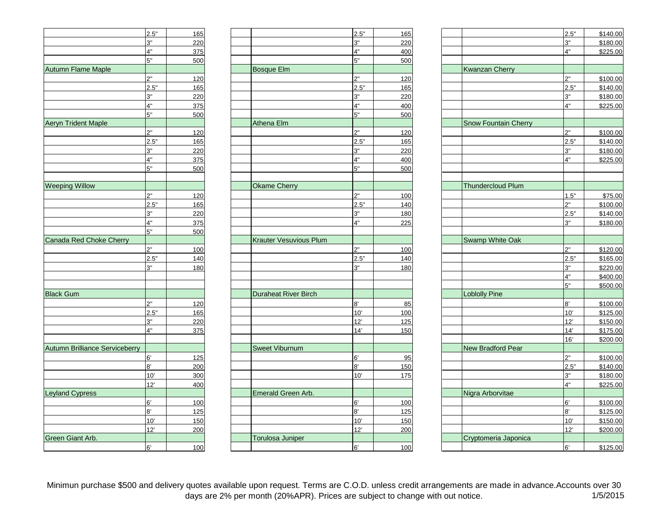|                                       | 2.5" | 165 |
|---------------------------------------|------|-----|
|                                       | 3"   | 220 |
|                                       | 4"   | 375 |
|                                       | 5"   | 500 |
| <b>Autumn Flame Maple</b>             |      |     |
|                                       | 2"   | 120 |
|                                       | 2.5" | 165 |
|                                       | 3"   | 220 |
|                                       | 4"   | 375 |
|                                       | 5"   | 500 |
| <b>Aeryn Trident Maple</b>            |      |     |
|                                       | 2"   | 120 |
|                                       | 2.5" | 165 |
|                                       | 3"   | 220 |
|                                       | 4"   | 375 |
|                                       | 5"   | 500 |
|                                       |      |     |
| <b>Weeping Willow</b>                 |      |     |
|                                       | 2"   | 120 |
|                                       | 2.5" | 165 |
|                                       | 3"   | 220 |
|                                       | 4"   | 375 |
|                                       | 5"   | 500 |
| Canada Red Choke Cherry               |      |     |
|                                       | 2"   | 100 |
|                                       | 2.5" | 140 |
|                                       | 3"   | 180 |
|                                       |      |     |
|                                       |      |     |
| <b>Black Gum</b>                      |      |     |
|                                       | 2"   | 120 |
|                                       | 2.5" | 165 |
|                                       | 3"   | 220 |
|                                       | 4"   | 375 |
|                                       |      |     |
| <b>Autumn Brilliance Serviceberry</b> |      |     |
|                                       | 6'   | 125 |
|                                       | 8'   | 200 |
|                                       | 10'  |     |
|                                       | 12'  | 300 |
| <b>Leyland Cypress</b>                |      | 400 |
|                                       |      |     |
|                                       | 6'   | 100 |
|                                       | 8'   | 125 |
|                                       | 10'  | 150 |
|                                       | 12'  | 200 |
| Green Giant Arb.                      |      |     |
|                                       | R,   | 100 |

|                                       | 2.5" | 165 |                         | 2.5" | 165 |                             | 2.5" | \$140.00 |
|---------------------------------------|------|-----|-------------------------|------|-----|-----------------------------|------|----------|
|                                       | 3"   | 220 |                         | 3"   | 220 |                             | 3"   | \$180.00 |
|                                       | 4"   | 375 |                         | 4"   | 400 |                             | 4"   | \$225.00 |
|                                       | 5"   | 500 |                         | 5"   | 500 |                             |      |          |
| Autumn Flame Maple                    |      |     | Bosque Elm              |      |     | <b>Kwanzan Cherry</b>       |      |          |
|                                       | 2"   | 120 |                         | 2"   | 120 |                             | 2"   | \$100.00 |
|                                       | 2.5" | 165 |                         | 2.5" | 165 |                             | 2.5" | \$140.00 |
|                                       | 3"   | 220 |                         | 3"   | 220 |                             | 3"   | \$180.00 |
|                                       | 4"   | 375 |                         | 4"   | 400 |                             | 4"   | \$225.00 |
|                                       | 5"   | 500 |                         | 5"   | 500 |                             |      |          |
| Aeryn Trident Maple                   |      |     | Athena Elm              |      |     | <b>Snow Fountain Cherry</b> |      |          |
|                                       | 2"   | 120 |                         | 2"   | 120 |                             | 2"   | \$100.00 |
|                                       | 2.5" | 165 |                         | 2.5" | 165 |                             | 2.5" | \$140.00 |
|                                       | 3"   |     |                         | 3"   |     |                             | 3"   |          |
|                                       | 4"   | 220 |                         | 4"   | 220 |                             | 4"   | \$180.00 |
|                                       |      | 375 |                         |      | 400 |                             |      | \$225.00 |
|                                       | 5"   | 500 |                         | 5"   | 500 |                             |      |          |
|                                       |      |     |                         |      |     |                             |      |          |
| <b>Weeping Willow</b>                 |      |     | <b>Okame Cherry</b>     |      |     | <b>Thundercloud Plum</b>    |      |          |
|                                       | 2"   | 120 |                         | つ"   | 100 |                             | 1.5" | \$75.00  |
|                                       | 2.5" | 165 |                         | 2.5" | 140 |                             | 2"   | \$100.00 |
|                                       | 3"   | 220 |                         | 3"   | 180 |                             | 2.5" | \$140.00 |
|                                       | 4"   | 375 |                         | 4"   | 225 |                             | 3"   | \$180.00 |
|                                       | 5"   | 500 |                         |      |     |                             |      |          |
| Canada Red Choke Cherry               |      |     | Krauter Vesuvious Plum  |      |     | Swamp White Oak             |      |          |
|                                       | 2"   | 100 |                         | ን"   | 100 |                             | 2"   | \$120.00 |
|                                       | 2.5" | 140 |                         | 2.5" | 140 |                             | 2.5" | \$165.00 |
|                                       | 3"   | 180 |                         | 3"   | 180 |                             | 3"   | \$220.00 |
|                                       |      |     |                         |      |     |                             | 4"   | \$400.00 |
|                                       |      |     |                         |      |     |                             | 5"   | \$500.00 |
| <b>Black Gum</b>                      |      |     | Duraheat River Birch    |      |     | <b>Loblolly Pine</b>        |      |          |
|                                       | 2"   | 120 |                         | 8'   | 85  |                             | 8'   | \$100.00 |
|                                       | 2.5" | 165 |                         | 10'  | 100 |                             | 10'  | \$125.00 |
|                                       | 3"   | 220 |                         | 12'  | 125 |                             | 12'  | \$150.00 |
|                                       | 4"   | 375 |                         | 14'  | 150 |                             | 14'  | \$175.00 |
|                                       |      |     |                         |      |     |                             | 16'  | \$200.00 |
| <b>Autumn Brilliance Serviceberry</b> |      |     | Sweet Viburnum          |      |     | New Bradford Pear           |      |          |
|                                       | 6'   | 125 |                         | 6'   | 95  |                             | つ"   | \$100.00 |
|                                       | 8'   | 200 |                         | 8'   | 150 |                             | 2.5" | \$140.00 |
|                                       | 10'  | 300 |                         | 10'  | 175 |                             | 3"   | \$180.00 |
|                                       | 12'  | 400 |                         |      |     |                             | 4"   | \$225.00 |
| <b>Leyland Cypress</b>                |      |     | Emerald Green Arb.      |      |     | Nigra Arborvitae            |      |          |
|                                       | 6'   | 100 |                         | 6'   | 100 |                             | 6'   | \$100.00 |
|                                       | 8'   | 125 |                         | 8'   | 125 |                             | 8'   | \$125.00 |
|                                       | 10'  | 150 |                         | 10'  | 150 |                             | 10'  | \$150.00 |
|                                       | 12'  | 200 |                         | 12'  | 200 |                             | 12'  | \$200.00 |
| Green Giant Arb.                      |      |     | <b>Torulosa Juniper</b> |      |     | Cryptomeria Japonica        |      |          |
|                                       | 6'   | 100 |                         | 6'   | 100 |                             | 6'   | \$125.00 |
|                                       |      |     |                         |      |     |                             |      |          |

| 2.5"                               | 165   |                               | 2.5" | 165   |                             | 2.5"       | \$140.00 |
|------------------------------------|-------|-------------------------------|------|-------|-----------------------------|------------|----------|
| 3"                                 | 220   |                               | 3"   | 220   |                             | 3"         | \$180.00 |
|                                    | 375   |                               | 4"   | 400   |                             | 4"         | \$225.00 |
| 4"<br>5"                           | 500   |                               | 5"   | 500   |                             |            |          |
|                                    |       | <b>Bosque Elm</b>             |      |       | <b>Kwanzan Cherry</b>       |            |          |
|                                    | 120   |                               | 2"   | 120   |                             | 2"         | \$100.00 |
| $\frac{2}{2.5}$ "                  | 165   |                               | 2.5" | 165   |                             | 2.5"       | \$140.00 |
|                                    | 220   |                               | 3"   | 220   |                             | 3"         | \$180.00 |
| 3"<br>4"<br>5"                     | 375   |                               | 4"   | 400   |                             | 4"         | \$225.00 |
|                                    | 500   |                               | 5"   | 500   |                             |            |          |
|                                    |       | Athena Elm                    |      |       | <b>Snow Fountain Cherry</b> |            |          |
| $2^{\circ}$                        | 120   |                               | 2"   | 120   |                             | 2"         | \$100.00 |
| 2.5"                               | 165   |                               | 2.5" | 165   |                             | 2.5"       | \$140.00 |
|                                    | 220   |                               | 3"   | 220   |                             | 3"         | \$180.00 |
| $\frac{3}{4}$ "<br>$\frac{4}{5}$ " | 375   |                               | 4"   | 400   |                             | 4"         | \$225.00 |
|                                    |       |                               | 5"   |       |                             |            |          |
|                                    | 500   |                               |      | 500   |                             |            |          |
|                                    |       | <b>Okame Cherry</b>           |      |       | <b>Thundercloud Plum</b>    |            |          |
|                                    |       |                               | 2"   |       |                             |            |          |
| 2"                                 | 120   |                               |      | 100   |                             | 1.5"       | \$75.00  |
| 2.5"                               | 165   |                               | 2.5" | 140   |                             | 2"         | \$100.00 |
| $\frac{3}{4}$ "<br>$\frac{4}{5}$ " | 220   |                               | 3"   | 180   |                             | 2.5"       | \$140.00 |
|                                    | 375   |                               | 4"   | 225   |                             | 3"         | \$180.00 |
|                                    | 500   |                               |      |       |                             |            |          |
|                                    |       | <b>Krauter Vesuvious Plum</b> |      |       | Swamp White Oak             |            |          |
| 2"                                 | 100   |                               | 2"   | 100   |                             | 2"         | \$120.00 |
| 2.5"                               | 140   |                               | 2.5" | 140   |                             | 2.5"       | \$165.00 |
| 3"                                 | 180   |                               | 3"   | 180   |                             | 3"         | \$220.00 |
|                                    |       |                               |      |       |                             | 4"         | \$400.00 |
|                                    |       |                               |      |       |                             | 5"         | \$500.00 |
|                                    |       | Duraheat River Birch          |      |       | <b>Loblolly Pine</b>        |            |          |
| 2"                                 | 120   |                               | 8'   | 85    |                             | 8'         | \$100.00 |
| 2.5"                               | 165   |                               | 10'  | 100   |                             | 10'        | \$125.00 |
| 3"<br>4"                           | 220   |                               | 12'  | 125   |                             | 12'        | \$150.00 |
|                                    | 375   |                               | 14'  | 150   |                             | 14'        | \$175.00 |
|                                    |       |                               |      |       |                             | 16'        | \$200.00 |
|                                    |       | <b>Sweet Viburnum</b>         |      |       | <b>New Bradford Pear</b>    |            |          |
| 6 <sup>'</sup>                     | 125   |                               | 6'   | 95    |                             | 2"         | \$100.00 |
| 8'                                 | 200   |                               | 8'   | 150   |                             | 2.5"       | \$140.00 |
| 10'                                | 300   |                               | 10'  | 175   |                             | 3"         | \$180.00 |
| 12'                                | 400   |                               |      |       |                             | 4"         | \$225.00 |
|                                    |       | Emerald Green Arb.            |      |       | Nigra Arborvitae            |            |          |
| 6'                                 | 100   |                               | 6'   | 100   |                             | 6'         | \$100.00 |
| 8'                                 | $125$ |                               | 8'   | $125$ |                             | 8'         | \$125.00 |
| 10'                                | 150   |                               | 10'  | 150   |                             | 10'        | \$150.00 |
| 12'                                | 200   |                               | 12'  | 200   |                             | 12'        | \$200.00 |
|                                    |       | <b>Torulosa Juniper</b>       |      |       | Cryptomeria Japonica        |            |          |
| 6'                                 | 100   |                               | 6'   | 100   |                             | $6^\prime$ | \$125.00 |
|                                    |       |                               |      |       |                             |            |          |

Minimun purchase \$500 and delivery quotes available upon request. Terms are C.O.D. unless credit arrangements are made in advance.Accounts over 30<br>1/5/2015 days are 2% per month (20%APR). Prices are subject to change with days are 2% per month (20%APR). Prices are subject to change with out notice.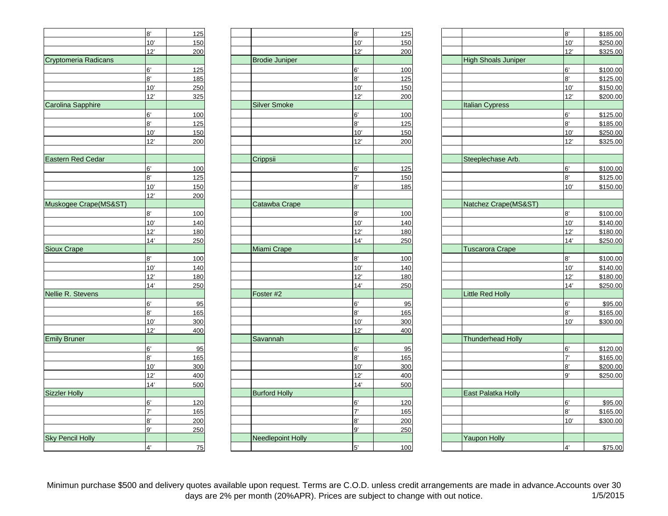|                          | 8'             | 125        |
|--------------------------|----------------|------------|
|                          | 10'            | 150        |
|                          | 12'            | 200        |
| Cryptomeria Radicans     |                |            |
|                          | 6'             | 125        |
|                          | 8'             | <u>185</u> |
|                          | 10'            | 250        |
|                          | 12'            | 325        |
| <b>Carolina Sapphire</b> |                |            |
|                          | 6'             | 100        |
|                          | 8'             | 125        |
|                          | 10'            | 150        |
|                          | <u>12'</u>     | 200        |
|                          |                |            |
| Eastern Red Cedar        |                |            |
|                          | 6,             | 100        |
|                          | 8'             | 125        |
|                          | 10'            | 150        |
|                          | 12'            | 200        |
| Muskogee Crape(MS&ST)    |                |            |
|                          | 8'             | <u>100</u> |
|                          | 10'            | 140        |
|                          | 12'            | 180        |
|                          | 14'            | 250        |
| <b>Sioux Crape</b>       |                |            |
|                          | 8'             | 100        |
|                          | 10'            | 140        |
|                          | 12'            | 180        |
|                          | 14'            | 250        |
| Nellie R. Stevens        |                |            |
|                          | 6'             | 95         |
|                          | 8'             | 165        |
|                          | 10'            | 300        |
|                          | 12'            | 400        |
| <b>Emily Bruner</b>      |                |            |
|                          | 6,             | 95         |
|                          | 8'             | 165        |
|                          | 10'            | 300        |
|                          | 12'            | 400        |
|                          | 14'            | 500        |
| <b>Sizzler Holly</b>     |                |            |
|                          | 6'             | 120        |
|                          | $\overline{I}$ | 165        |
|                          | 8,             | 200        |
|                          | 9'             | 250        |
| <b>Sky Pencil Holly</b>  |                |            |
|                          | $\mathbf{A}$   | 75         |
|                          |                |            |

|                          | 8'                   | 125        |
|--------------------------|----------------------|------------|
|                          | 10'                  | 150        |
|                          | 12'                  | 200        |
| <b>Brodie Juniper</b>    |                      |            |
|                          | 6'                   | 100        |
|                          | 8'                   | 125        |
|                          | 10'                  | 150        |
|                          | 12'                  | 200        |
| <b>Silver Smoke</b>      |                      |            |
|                          | 6'                   | 100        |
|                          | 8'                   | 125        |
|                          | 10'                  | 150        |
|                          | 12'                  | 200        |
|                          |                      |            |
| Crippsii                 |                      |            |
|                          |                      |            |
|                          | 6'<br>$\overline{7}$ | 125        |
|                          |                      | 150        |
|                          | 8'                   | 185        |
|                          |                      |            |
| Catawba Crape            |                      |            |
|                          | 8'                   | <u>100</u> |
|                          | 10'                  | 140        |
|                          | 12'                  | 180        |
|                          | 14'                  | 250        |
| Miami Crape              |                      |            |
|                          | 8'                   | 100        |
|                          | 10'                  | 140        |
|                          | 12'                  | 180        |
|                          | 14'                  | 250        |
| Foster #2                |                      |            |
|                          | 6'                   | 95         |
|                          | 8'                   | 165        |
|                          | 10'                  | 300        |
|                          | 12'                  | 400        |
| Savannah                 |                      |            |
|                          | 6'                   | 95         |
|                          | 8'                   | 165        |
|                          | 10'                  | 300        |
|                          | 12'                  | 400        |
|                          | 14'                  | 500        |
| <b>Burford Holly</b>     |                      |            |
|                          | 6'                   | 120        |
|                          | $\overline{I}$       | 165        |
|                          | 8'                   | 200        |
|                          | 9'                   |            |
| <b>Needlepoint Holly</b> |                      | 250        |
|                          |                      |            |
|                          | 5'                   | 100        |

|                            | 8'             | \$185.00 |
|----------------------------|----------------|----------|
|                            | 10'            | \$250.00 |
|                            | 12'            | \$325.00 |
| <b>High Shoals Juniper</b> |                |          |
|                            | 6'             | \$100.00 |
|                            | 8'             | \$125.00 |
|                            | 10'            | \$150.00 |
|                            | 12'            | \$200.00 |
| <b>Italian Cypress</b>     |                |          |
|                            | 6'             | \$125.00 |
|                            | 8'             | \$185.00 |
|                            | 10'            | \$250.00 |
|                            | 12'            | \$325.00 |
|                            |                |          |
| Steeplechase Arb.          |                |          |
|                            | 6'             | \$100.00 |
|                            | 8'             | \$125.00 |
|                            | 10'            | \$150.00 |
|                            |                |          |
| Natchez Crape(MS&ST)       |                |          |
|                            | 8'             | \$100.00 |
|                            | 10'            | \$140.00 |
|                            | 12'            | \$180.00 |
|                            | 14'            | \$250.00 |
| Tuscarora Crape            |                |          |
|                            | 8'             | \$100.00 |
|                            | 10'            | \$140.00 |
|                            | 12'            | \$180.00 |
|                            | 14'            | \$250.00 |
| <b>Little Red Holly</b>    |                |          |
|                            | 6'             | \$95.00  |
|                            | 8'             | \$165.00 |
|                            | 10'            | \$300.00 |
|                            |                |          |
| <b>Thunderhead Holly</b>   |                |          |
|                            | 6'             | \$120.00 |
|                            | $\overline{7}$ | \$165.00 |
|                            | 8'             | \$200.00 |
|                            | 9'             | \$250.00 |
|                            |                |          |
| East Palatka Holly         |                |          |
|                            | 6'             | \$95.00  |
|                            | 8'             | \$165.00 |
|                            | 10'            | \$300.00 |
|                            |                |          |
| <b>Yaupon Holly</b>        |                |          |
|                            | 4'             | \$75.00  |

Minimun purchase \$500 and delivery quotes available upon request. Terms are C.O.D. unless credit arrangements are made in advance. Accounts over 30<br>1/5/2015 days are 2% per month (20%APR). Prices are subject to change with 1/5/2015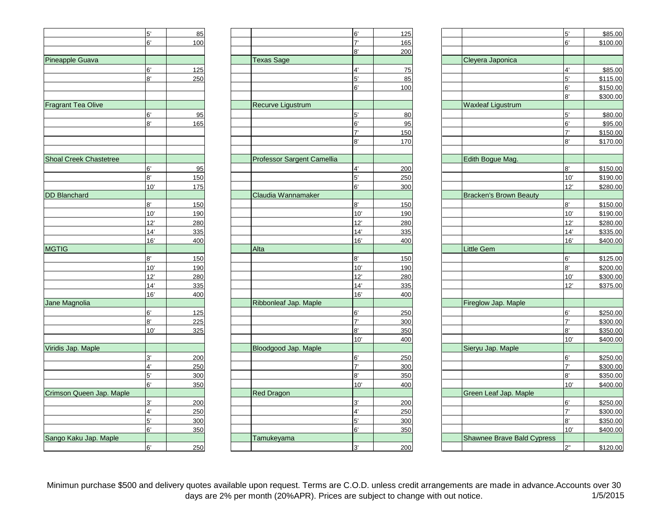|                               | 5'             | 85         |
|-------------------------------|----------------|------------|
|                               | 6'             | 100        |
|                               |                |            |
| Pineapple Guava               |                |            |
|                               | 6'             | 125        |
|                               | 8'             | 250        |
|                               |                |            |
|                               |                |            |
| Fragrant Tea Olive            |                |            |
|                               | 6'             | 95         |
|                               | 8'             | 165        |
|                               |                |            |
|                               |                |            |
|                               |                |            |
| <b>Shoal Creek Chastetree</b> |                |            |
|                               | 6'             | 95         |
|                               | 8'             | 150        |
|                               | 10'            | 175        |
| <b>DD Blanchard</b>           |                |            |
|                               | 8'             | 150        |
|                               | 10'            | 190        |
|                               | 12'            | 280        |
|                               | 14'            | 335        |
|                               | 16'            | 400        |
| <b>MGTIG</b>                  |                |            |
|                               | 8'             | 150        |
|                               | 10'            | 190        |
|                               | 12'            | 280        |
|                               | 14'<br>16'     | 335        |
| Jane Magnolia                 |                | 400        |
|                               | 6'             |            |
|                               | 8'             | 125        |
|                               | 10'            | 225<br>325 |
|                               |                |            |
| Viridis Jap. Maple            |                |            |
|                               | 3'             | 200        |
|                               | $\overline{4}$ | 250        |
|                               | 5'             | 300        |
|                               | 6'             | 350        |
| Crimson Queen Jap. Maple      |                |            |
|                               | 3'             | 200        |
|                               | $\overline{4}$ | 250        |
|                               | 5'             | 300        |
|                               | 6'             | 350        |
| Sango Kaku Jap. Maple         |                |            |
|                               | 6'             | 250        |
|                               |                |            |

|                               | 5'  | 85  |                            | 6'                    | 125 |                            | 5'           | \$85.00  |
|-------------------------------|-----|-----|----------------------------|-----------------------|-----|----------------------------|--------------|----------|
|                               | 6'  | 100 |                            | $\overline{7}$        | 165 |                            | 6'           | \$100.00 |
|                               |     |     |                            | 8'                    | 200 |                            |              |          |
| Pineapple Guava               |     |     | <b>Texas Sage</b>          |                       |     | Cleyera Japonica           |              |          |
|                               | 6'  | 125 |                            | 4'                    | 75  |                            | 4'           | \$85.00  |
|                               | 8'  | 250 |                            | 5'                    | 85  |                            | 5'           | \$115.00 |
|                               |     |     |                            | 6'                    | 100 |                            | 6'           | \$150.00 |
|                               |     |     |                            |                       |     |                            | 8'           | \$300.00 |
| <b>Fragrant Tea Olive</b>     |     |     | Recurve Ligustrum          |                       |     | <b>Waxleaf Ligustrum</b>   |              |          |
|                               | 6'  | 95  |                            | 5'                    | 80  |                            | 5'           | \$80.00  |
|                               | 8'  | 165 |                            | 6'                    | 95  |                            | 6'           | \$95.00  |
|                               |     |     |                            | $\mathbf{7}$          | 150 |                            | $\mathbf{7}$ | \$150.00 |
|                               |     |     |                            | 8'                    | 170 |                            | R            | \$170.00 |
|                               |     |     |                            |                       |     |                            |              |          |
| <b>Shoal Creek Chastetree</b> |     |     | Professor Sargent Camellia |                       |     | Edith Bogue Mag.           |              |          |
|                               | 6'  | 95  |                            | 4'                    | 200 |                            | 8'           | \$150.00 |
|                               | 8'  | 150 |                            | 5'                    | 250 |                            | 10'          | \$190.00 |
|                               | 10' | 175 |                            | 6'                    | 300 |                            | 12'          | \$280.00 |
| <b>DD Blanchard</b>           |     |     | Claudia Wannamaker         |                       |     | Bracken's Brown Beauty     |              |          |
|                               | 8'  | 150 |                            | 8'                    | 150 |                            | 8'           | \$150.00 |
|                               | 10' | 190 |                            | 10'                   | 190 |                            | 10'          | \$190.00 |
|                               | 12' | 280 |                            | 12'                   | 280 |                            | 12'          | \$280.00 |
|                               | 14' | 335 |                            | 14'                   | 335 |                            | 14'          | \$335.00 |
|                               | 16' | 400 |                            | 16'                   | 400 |                            | 16'          | \$400.00 |
| <b>MGTIG</b>                  |     |     | Alta                       |                       |     | <b>Little Gem</b>          |              |          |
|                               | 8'  | 150 |                            | 8'                    | 150 |                            | 6'           | \$125.00 |
|                               | 10' | 190 |                            | 10'                   | 190 |                            | 8'           | \$200.00 |
|                               | 12' | 280 |                            | 12'                   | 280 |                            | 10'          | \$300.00 |
|                               | 14' | 335 |                            | 14'                   | 335 |                            | 12'          | \$375.00 |
|                               | 16' | 400 |                            | 16'                   | 400 |                            |              |          |
| Jane Magnolia                 |     |     | Ribbonleaf Jap. Maple      |                       |     | Fireglow Jap. Maple        |              |          |
|                               | 6'  | 125 |                            | 6'                    | 250 |                            | 6'           | \$250.00 |
|                               | 8'  | 225 |                            | 7'                    | 300 |                            | 7'           | \$300.00 |
|                               | 10' | 325 |                            | 8'                    | 350 |                            | 8'           | \$350.00 |
|                               |     |     |                            | 10'                   | 400 |                            | 10'          | \$400.00 |
| Viridis Jap. Maple            |     |     | Bloodgood Jap. Maple       |                       |     | Sieryu Jap. Maple          |              |          |
|                               | 3'  | 200 |                            | 6'                    | 250 |                            | 6'           | \$250.00 |
|                               | 4'  | 250 |                            | $\overline{7}$        | 300 |                            | 7'           | \$300.00 |
|                               | 5'  | 300 |                            | $\mathsf{R}^{\prime}$ | 350 |                            | 8'           | \$350.00 |
|                               | 6'  | 350 |                            | 10'                   | 400 |                            | 10'          | \$400.00 |
| Crimson Queen Jap. Maple      |     |     | <b>Red Dragon</b>          |                       |     | Green Leaf Jap. Maple      |              |          |
|                               | 3'  | 200 |                            | 3'                    | 200 |                            | 6'           | \$250.00 |
|                               | 4'  | 250 |                            | 4'                    | 250 |                            | 7'           | \$300.00 |
|                               | 5'  | 300 |                            | 5'                    | 300 |                            | 8'           | \$350.00 |
|                               | 6'  | 350 |                            | 6'                    | 350 |                            | 10'          | \$400.00 |
| Sango Kaku Jap. Maple         |     |     | Tamukeyama                 |                       |     | Shawnee Brave Bald Cypress |              |          |
|                               | 6'  | 250 |                            | 3'                    | 200 |                            | 2"           | \$120.00 |
|                               |     |     |                            |                       |     |                            |              |          |

| 5'                                     | 85         |                            | 6'            | 125        |                            | 5'                    | \$85.00              |
|----------------------------------------|------------|----------------------------|---------------|------------|----------------------------|-----------------------|----------------------|
| 6'                                     | 100        |                            | $\mathbf{7}$  | 165        |                            | 6'                    | \$100.00             |
|                                        |            |                            | 8'            | 200        |                            |                       |                      |
|                                        |            | <b>Texas Sage</b>          |               |            | Cleyera Japonica           |                       |                      |
| 6'                                     | 125        |                            | 4'            | 75         |                            | 4'                    | \$85.00              |
| 8'                                     | 250        |                            | 5'            | 85         |                            | 5'                    | \$115.00             |
|                                        |            |                            | 6'            | 100        |                            | 6'                    | \$150.00             |
|                                        |            |                            |               |            |                            | 8'                    | \$300.00             |
|                                        |            | Recurve Ligustrum          |               |            | <b>Waxleaf Ligustrum</b>   |                       |                      |
|                                        | 95         |                            | $5'$          | 80         |                            | 5'                    | \$80.00              |
| 6'<br>8'                               | 165        |                            | 6'            | 95         |                            | 6'                    | \$95.00              |
|                                        |            |                            | 7'            | 150        |                            | $\mathbf{7}^{\prime}$ | \$150.00             |
|                                        |            |                            | 8'            | 170        |                            | 8'                    | \$170.00             |
|                                        |            |                            |               |            |                            |                       |                      |
|                                        |            | Professor Sargent Camellia |               |            | Edith Bogue Mag.           |                       |                      |
|                                        | 95         |                            | 4'            | 200        |                            | 8'                    | \$150.00             |
| 6'<br>8'                               | 150        |                            | 5'            | 250        |                            | 10'                   | \$190.00             |
| 10'                                    | 175        |                            | 6'            | 300        |                            | 12'                   | \$280.00             |
|                                        |            | Claudia Wannamaker         |               |            | Bracken's Brown Beauty     |                       |                      |
| 8'                                     | 150        |                            | 8'            | 150        |                            | 8'                    | \$150.00             |
| 10'                                    | 190        |                            | 10'           | 190        |                            | 10'                   | \$190.00             |
| 12'                                    | 280        |                            | 12'           | 280        |                            | 12'                   | \$280.00             |
| 14'                                    | 335        |                            | 14'           | 335        |                            | 14'                   | \$335.00             |
| 16'                                    | 400        |                            | 16'           | 400        |                            | 16'                   | \$400.00             |
|                                        |            | Alta                       |               |            | <b>Little Gem</b>          |                       |                      |
| 8'                                     | 150        |                            | 8'            | 150        |                            | $6^\prime$            | \$125.00             |
| 10'                                    | 190        |                            | 10'           | 190        |                            | 8'                    | \$200.00             |
| 12'                                    | 280        |                            | 12'           | 280        |                            | 10'                   | \$300.00             |
| 14'                                    | 335        |                            | 14'           | 335        |                            | 12'                   | \$375.00             |
| 16'                                    | 400        |                            | 16'           | 400        |                            |                       |                      |
|                                        |            | Ribbonleaf Jap. Maple      |               |            | Fireglow Jap. Maple        |                       |                      |
| 6'                                     | 125        |                            | 6'            | 250        |                            | 6'                    | \$250.00             |
| 8'                                     | 225        |                            | $\mathbf{7}$  | 300        |                            | 7'                    | \$300.00             |
| 10'                                    | 325        |                            | 8'            | 350        |                            | 8'                    | \$350.00             |
|                                        |            |                            | 10'           | 400        |                            | 10'                   | \$400.00             |
|                                        |            | Bloodgood Jap. Maple       |               |            | Sieryu Jap. Maple          |                       |                      |
|                                        |            |                            | 6'            |            |                            | 6'                    |                      |
| $\frac{3^7}{4^7}$<br>$\frac{5^7}{6^7}$ | 200<br>250 |                            | $\mathbf{7}'$ | 250<br>300 |                            | 7'                    | \$250.00<br>\$300.00 |
|                                        |            |                            | 8'            |            |                            | 8'                    |                      |
|                                        | 300        |                            |               | 350        |                            | 10'                   | \$350.00             |
|                                        | 350        |                            | 10'           | 400        |                            |                       | \$400.00             |
|                                        |            | <b>Red Dragon</b>          |               |            | Green Leaf Jap. Maple      |                       |                      |
| 3'                                     | 200        |                            | 3'            | 200        |                            | 6'                    | \$250.00             |
| $\overline{4}$                         | 250        |                            | 4'            | 250        |                            | $\overline{7}$        | \$300.00             |
| 5'                                     | 300        |                            | 5'            | 300        |                            | 8'                    | \$350.00             |
| 6'                                     | 350        |                            | 6'            | 350        |                            | 10'                   | \$400.00             |
|                                        |            | Tamukeyama                 |               |            | Shawnee Brave Bald Cypress |                       |                      |
| 6'                                     | 250        |                            | 3'            | 200        |                            | 2"                    | \$120.00             |

Minimun purchase \$500 and delivery quotes available upon request. Terms are C.O.D. unless credit arrangements are made in advance.Accounts over 30 days are 2% per month (20%APR). Prices are subject to change with out notice. 1/5/2015